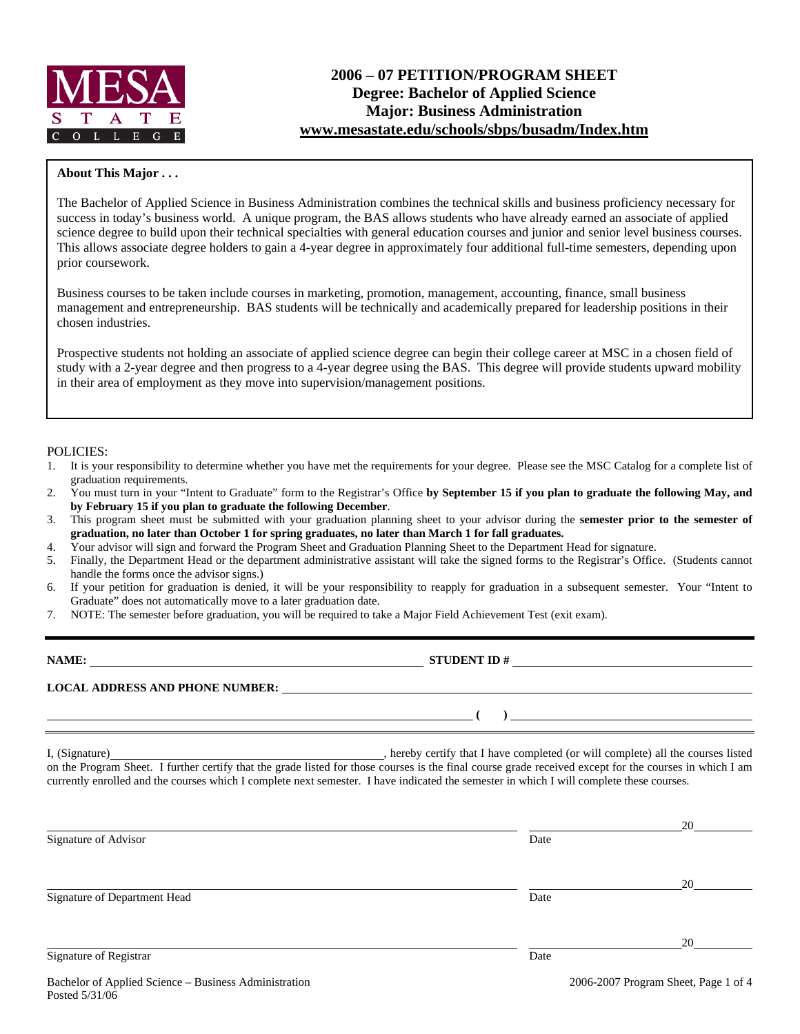

#### **About This Major . . .**

The Bachelor of Applied Science in Business Administration combines the technical skills and business proficiency necessary for success in today's business world. A unique program, the BAS allows students who have already earned an associate of applied science degree to build upon their technical specialties with general education courses and junior and senior level business courses. This allows associate degree holders to gain a 4-year degree in approximately four additional full-time semesters, depending upon prior coursework.

Business courses to be taken include courses in marketing, promotion, management, accounting, finance, small business management and entrepreneurship. BAS students will be technically and academically prepared for leadership positions in their chosen industries.

Prospective students not holding an associate of applied science degree can begin their college career at MSC in a chosen field of study with a 2-year degree and then progress to a 4-year degree using the BAS. This degree will provide students upward mobility in their area of employment as they move into supervision/management positions.

#### POLICIES:

Posted 5/31/06

- 1. It is your responsibility to determine whether you have met the requirements for your degree. Please see the MSC Catalog for a complete list of graduation requirements.
- 2. You must turn in your "Intent to Graduate" form to the Registrar's Office **by September 15 if you plan to graduate the following May, and by February 15 if you plan to graduate the following December**.
- 3. This program sheet must be submitted with your graduation planning sheet to your advisor during the **semester prior to the semester of graduation, no later than October 1 for spring graduates, no later than March 1 for fall graduates.**
- 4. Your advisor will sign and forward the Program Sheet and Graduation Planning Sheet to the Department Head for signature.
- 5. Finally, the Department Head or the department administrative assistant will take the signed forms to the Registrar's Office. (Students cannot handle the forms once the advisor signs.)
- 6. If your petition for graduation is denied, it will be your responsibility to reapply for graduation in a subsequent semester. Your "Intent to Graduate" does not automatically move to a later graduation date.
- 7. NOTE: The semester before graduation, you will be required to take a Major Field Achievement Test (exit exam).

| NAME:                                  | <b>STUDENT ID#</b> |  |  |  |  |
|----------------------------------------|--------------------|--|--|--|--|
| <b>LOCAL ADDRESS AND PHONE NUMBER:</b> |                    |  |  |  |  |
|                                        |                    |  |  |  |  |

I, (Signature) **Solution** , hereby certify that I have completed (or will complete) all the courses listed on the Program Sheet. I further certify that the grade listed for those courses is the final course grade received except for the courses in which I am currently enrolled and the courses which I complete next semester. I have indicated the semester in which I will complete these courses.

|                                                       |      | 20                                   |
|-------------------------------------------------------|------|--------------------------------------|
| Signature of Advisor                                  | Date |                                      |
|                                                       |      | 20                                   |
| Signature of Department Head                          | Date |                                      |
|                                                       |      | 20                                   |
| Signature of Registrar                                | Date |                                      |
| Bachelor of Applied Science – Business Administration |      | 2006-2007 Program Sheet, Page 1 of 4 |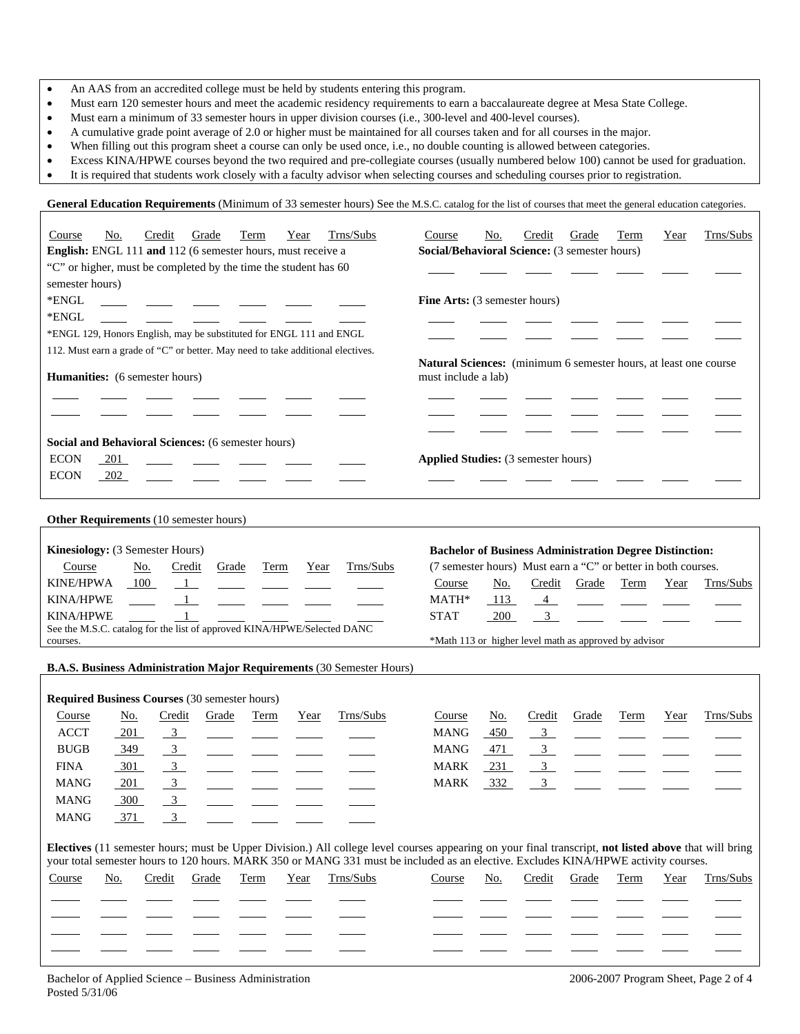- An AAS from an accredited college must be held by students entering this program.
- Must earn 120 semester hours and meet the academic residency requirements to earn a baccalaureate degree at Mesa State College.
- Must earn a minimum of 33 semester hours in upper division courses (i.e., 300-level and 400-level courses).
- A cumulative grade point average of 2.0 or higher must be maintained for all courses taken and for all courses in the major.
- When filling out this program sheet a course can only be used once, i.e., no double counting is allowed between categories.
- Excess KINA/HPWE courses beyond the two required and pre-collegiate courses (usually numbered below 100) cannot be used for graduation.
- It is required that students work closely with a faculty advisor when selecting courses and scheduling courses prior to registration.

General Education Requirements (Minimum of 33 semester hours) See the M.S.C. catalog for the list of courses that meet the general education categories.

| Trns/Subs<br>Course<br>Credit<br>Grade<br>No.<br>Term<br>Year                                                                                         | Trns/Subs<br>Course<br>No.<br>Credit<br>Grade<br>Term<br>Year               |
|-------------------------------------------------------------------------------------------------------------------------------------------------------|-----------------------------------------------------------------------------|
| English: ENGL 111 and 112 (6 semester hours, must receive a                                                                                           | Social/Behavioral Science: (3 semester hours)                               |
| "C" or higher, must be completed by the time the student has 60                                                                                       |                                                                             |
| semester hours)                                                                                                                                       |                                                                             |
| *ENGL                                                                                                                                                 | Fine Arts: (3 semester hours)                                               |
| *ENGL                                                                                                                                                 |                                                                             |
| *ENGL 129, Honors English, may be substituted for ENGL 111 and ENGL                                                                                   |                                                                             |
| 112. Must earn a grade of "C" or better. May need to take additional electives.                                                                       |                                                                             |
|                                                                                                                                                       | Natural Sciences: (minimum 6 semester hours, at least one course            |
| Humanities: (6 semester hours)                                                                                                                        | must include a lab)                                                         |
|                                                                                                                                                       |                                                                             |
|                                                                                                                                                       |                                                                             |
|                                                                                                                                                       |                                                                             |
| Social and Behavioral Sciences: (6 semester hours)                                                                                                    |                                                                             |
| <b>ECON</b><br>201                                                                                                                                    | <b>Applied Studies:</b> (3 semester hours)                                  |
| <b>ECON</b><br>202                                                                                                                                    |                                                                             |
|                                                                                                                                                       |                                                                             |
|                                                                                                                                                       |                                                                             |
| Other Requirements (10 semester hours)                                                                                                                |                                                                             |
| Kinesiology: (3 Semester Hours)                                                                                                                       | <b>Bachelor of Business Administration Degree Distinction:</b>              |
| Grade                                                                                                                                                 | (7 semester hours) Must earn a "C" or better in both courses.               |
| Trns/Subs<br>Credit<br>Course<br>No.<br>Term<br>Year                                                                                                  |                                                                             |
| <b>KINE/HPWA</b><br>100<br>$\overline{1}$                                                                                                             | Course<br>No.<br>Credit<br>Grade<br>Term<br>Year<br>Trns/Subs               |
| <b>KINA/HPWE</b><br>$\frac{1}{2}$                                                                                                                     | MATH*<br>113<br>$\overline{4}$                                              |
| <b>KINA/HPWE</b><br>$\mathbf{1}$<br>See the M.S.C. catalog for the list of approved KINA/HPWE/Selected DANC                                           | $\mathfrak{Z}$<br><b>STAT</b><br>200                                        |
| courses.                                                                                                                                              | *Math 113 or higher level math as approved by advisor                       |
|                                                                                                                                                       |                                                                             |
| B.A.S. Business Administration Major Requirements (30 Semester Hours)                                                                                 |                                                                             |
|                                                                                                                                                       |                                                                             |
| <b>Required Business Courses (30 semester hours)</b>                                                                                                  |                                                                             |
| Trns/Subs<br>Credit<br>Course<br>No.<br>Grade<br>Term<br>Year                                                                                         | Trns/Subs<br><u>No.</u><br>Course<br>Credit<br>Grade<br>Term<br>Year        |
| $\overline{3}$<br><b>ACCT</b><br>201                                                                                                                  | $\overline{\phantom{0}3}$<br><b>MANG</b><br>450                             |
| 3 <sup>7</sup><br><b>BUGB</b><br>349                                                                                                                  | <b>MANG</b><br>3<br>471                                                     |
| $\frac{3}{2}$<br><b>FINA</b><br>301                                                                                                                   | $\frac{3}{2}$<br><b>MARK</b><br>231<br>$\frac{1}{2}$                        |
| <b>MANG</b><br>$\overline{3}$<br>201                                                                                                                  | <b>MARK</b><br>332<br>3 <sup>7</sup>                                        |
| <b>MANG</b><br>$\mathbf{3}$<br>300                                                                                                                    |                                                                             |
| <b>MANG</b><br>371<br>$\mathfrak{Z}$                                                                                                                  |                                                                             |
|                                                                                                                                                       |                                                                             |
| Electives (11 semester hours; must be Upper Division.) All college level courses appearing on your final transcript, not listed above that will bring |                                                                             |
| your total semester hours to 120 hours. MARK 350 or MANG 331 must be included as an elective. Excludes KINA/HPWE activity courses.                    |                                                                             |
| Trns/Subs<br>Grade<br>Term<br>Course<br><u>No.</u><br>Credit<br>Year                                                                                  | Credit<br>Grade<br>Trns/Subs<br>Course<br><u>No.</u><br><b>Term</b><br>Year |
|                                                                                                                                                       |                                                                             |
|                                                                                                                                                       |                                                                             |
|                                                                                                                                                       |                                                                             |
|                                                                                                                                                       |                                                                             |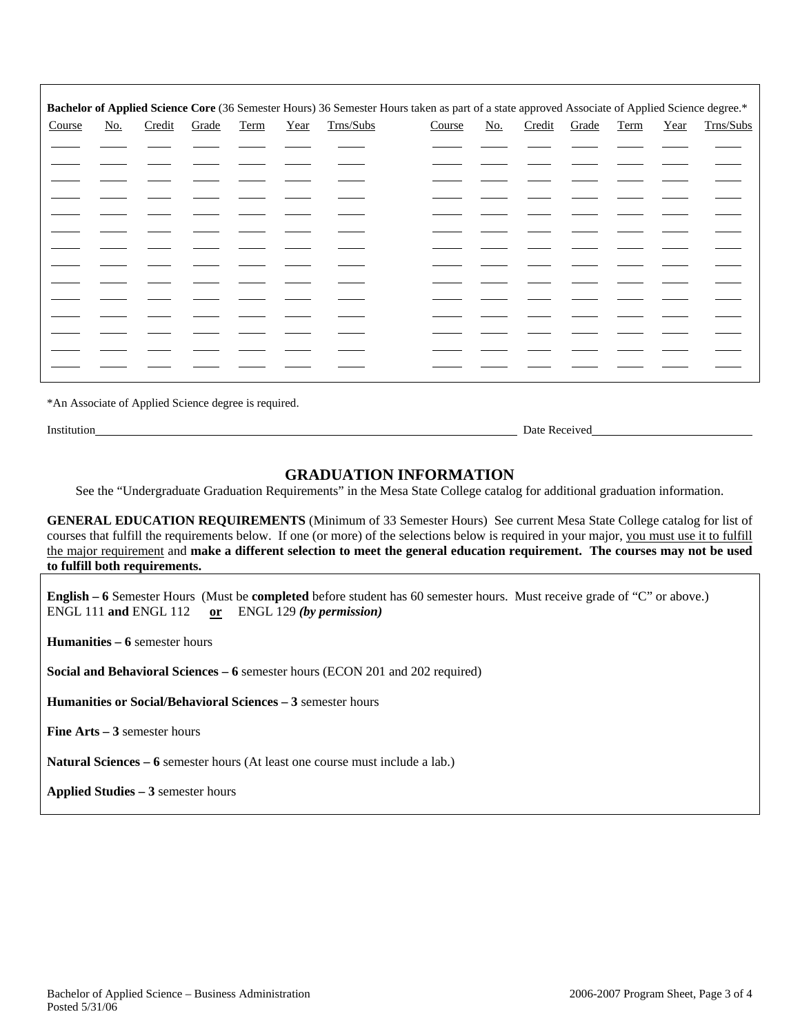| Bachelor of Applied Science Core (36 Semester Hours) 36 Semester Hours taken as part of a state approved Associate of Applied Science degree.* |                           |        |       |      |      |           |        |            |        |       |      |      |           |
|------------------------------------------------------------------------------------------------------------------------------------------------|---------------------------|--------|-------|------|------|-----------|--------|------------|--------|-------|------|------|-----------|
| Course                                                                                                                                         | $\underline{\text{No}}$ . | Credit | Grade | Term | Year | Trns/Subs | Course | <u>No.</u> | Credit | Grade | Term | Year | Trns/Subs |
|                                                                                                                                                |                           |        |       |      |      |           |        |            |        |       |      |      |           |
|                                                                                                                                                |                           |        |       |      |      |           |        |            |        |       |      |      |           |
|                                                                                                                                                |                           |        |       |      |      |           |        |            |        |       |      |      |           |
|                                                                                                                                                |                           |        |       |      |      |           |        |            |        |       |      |      |           |
|                                                                                                                                                |                           |        |       |      |      |           |        |            |        |       |      |      |           |
|                                                                                                                                                |                           |        |       |      |      |           |        |            |        |       |      |      |           |
|                                                                                                                                                |                           |        |       |      |      |           |        |            |        |       |      |      |           |
|                                                                                                                                                |                           |        |       |      |      |           |        |            |        |       |      |      |           |
|                                                                                                                                                |                           |        |       |      |      |           |        |            |        |       |      |      |           |
|                                                                                                                                                |                           |        |       |      |      |           |        |            |        |       |      |      |           |
|                                                                                                                                                |                           |        |       |      |      |           |        |            |        |       |      |      |           |
|                                                                                                                                                |                           |        |       |      |      |           |        |            |        |       |      |      |           |
|                                                                                                                                                |                           |        |       |      |      |           |        |            |        |       |      |      |           |

\*An Associate of Applied Science degree is required.

Institution Date Received

# **GRADUATION INFORMATION**

See the "Undergraduate Graduation Requirements" in the Mesa State College catalog for additional graduation information.

**GENERAL EDUCATION REQUIREMENTS** (Minimum of 33 Semester Hours) See current Mesa State College catalog for list of courses that fulfill the requirements below. If one (or more) of the selections below is required in your major, you must use it to fulfill the major requirement and **make a different selection to meet the general education requirement. The courses may not be used to fulfill both requirements.**

**English – 6** Semester Hours (Must be **completed** before student has 60 semester hours. Must receive grade of "C" or above.) ENGL 111 **and** ENGL 112 **or** ENGL 129 *(by permission)*

**Humanities – 6** semester hours

**Social and Behavioral Sciences – 6** semester hours (ECON 201 and 202 required)

**Humanities or Social/Behavioral Sciences – 3** semester hours

**Fine Arts – 3** semester hours

**Natural Sciences – 6** semester hours (At least one course must include a lab.)

**Applied Studies – 3** semester hours